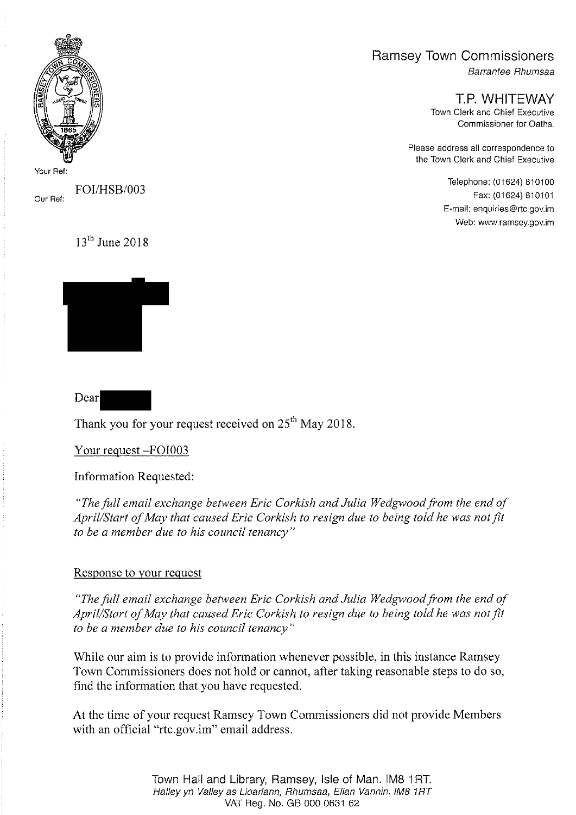## Ramsey Town Commissioners

Barrantee Rhumsaa

T.P. WHITEWAY Town Clerk and Chief Executive Commissioner for Oaths.

Please address all correspondence to the Town Clerk and Chief Executive

> Telephone: ( 01624) 810100 Fax: (01624) 810101 E -mail: enquiries @rtc.gov.im Web: www.ramsey.gov.im



Your Ref

Our Ref: FOI/HSB/003

 $13<sup>th</sup>$  June 2018



Dear

Thank you for your request received on  $25<sup>th</sup>$  May 2018.

Your request —F0I003

Information Requested:

"The full email exchange between Eric Corkish and Julia Wedgwood from the end of April/Start of May that caused Eric Corkish to resign due to being told he was not fit to be a member due to his council tenancy"

## Response to your request

"The full email exchange between Eric Corkish and Julia Wedgwood from the end of April/Start of May that caused Eric Corkish to resign due to being told he was not fit to be a member due to his council tenancy"

While our aim is to provide information whenever possible, in this instance Ramsey Town Commissioners does not hold or cannot, after taking reasonable steps to do so, find the information that you have requested.

At the time of your request Ramsey Town Commissioners did not provide Members with an official "rte.gov.im" email address.

> Town Hall and Library, Ramsey, Isle of Man. IM8 <sup>1</sup> RT. Halley yn Valley as Lioarlann, Rhumsaa, Ellan Vannin. IM8 1RT VAT Reg. No. GB 000 0631 62